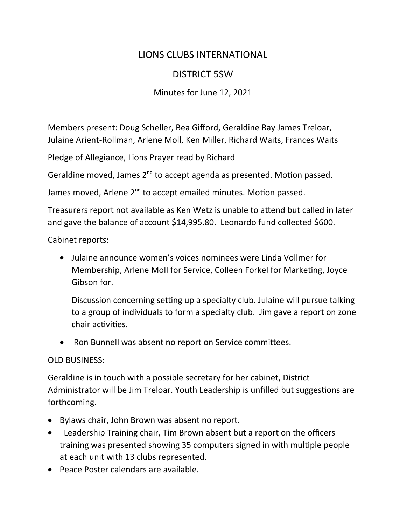## LIONS CLUBS INTERNATIONAL

## DISTRICT 5SW

## Minutes for June 12, 2021

Members present: Doug Scheller, Bea Gifford, Geraldine Ray James Treloar, Julaine Arient-Rollman, Arlene Moll, Ken Miller, Richard Waits, Frances Waits

Pledge of Allegiance, Lions Prayer read by Richard

Geraldine moved, James 2<sup>nd</sup> to accept agenda as presented. Motion passed.

James moved, Arlene 2<sup>nd</sup> to accept emailed minutes. Motion passed.

Treasurers report not available as Ken Wetz is unable to attend but called in later and gave the balance of account \$14,995.80. Leonardo fund collected \$600.

Cabinet reports:

 Julaine announce women's voices nominees were Linda Vollmer for Membership, Arlene Moll for Service, Colleen Forkel for Marketing, Joyce Gibson for.

Discussion concerning setting up a specialty club. Julaine will pursue talking to a group of individuals to form a specialty club. Jim gave a report on zone chair activities.

Ron Bunnell was absent no report on Service committees.

## OLD BUSINESS:

Geraldine is in touch with a possible secretary for her cabinet, District Administrator will be Jim Treloar. Youth Leadership is unfilled but suggestions are forthcoming.

- Bylaws chair, John Brown was absent no report.
- Leadership Training chair, Tim Brown absent but a report on the officers training was presented showing 35 computers signed in with multiple people at each unit with 13 clubs represented.
- Peace Poster calendars are available.